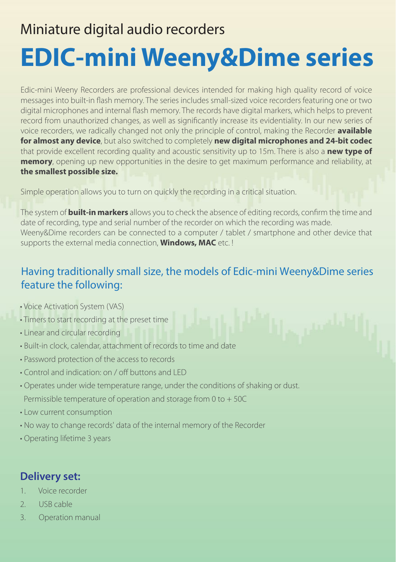### Miniature digital audio recorders

# **EDIC-mini Weeny&Dime series**

Еdic-mini Weeny Recorders are professional devices intended for making high quality record of voice messages into built-in flash memory. The series includes small-sized voice recorders featuring one or two digital microphones and internal flash memory. The records have digital markers, which helps to prevent record from unauthorized changes, as well as significantly increase its evidentiality. In our new series of voice recorders, we radically changed not only the principle of control, making the Recorder **available for almost any device**, but also switched to completely **new digital microphones and 24-bit codec** that provide excellent recording quality and acoustic sensitivity up to 15m. There is also a **new type of memory**, opening up new opportunities in the desire to get maximum performance and reliability, at **the smallest possible size.**

Simple operation allows you to turn on quickly the recording in a critical situation.

The system of **built-in markers** allows you to check the absence of editing records, confirm the time and date of recording, type and serial number of the recorder on which the recording was made. Weeny&Dime recorders can be connected to a computer / tablet / smartphone and other device that supports the external media connection, **Windows, MAC** etc. !

### Having traditionally small size, the models of Edic-mini Weeny&Dime series feature the following:

- Voice Activation System (VAS)
- Timers to start recording at the preset time
- Linear and circular recording
- Built-in clock, calendar, attachment of records to time and date
- Password protection of the access to records
- $\cdot$  Control and indication: on / off buttons and LED
- Operates under wide temperature range, under the conditions of shaking or dust. Permissible temperature of operation and storage from 0 to + 50C
- Low current consumption
- No way to change records' data of the internal memory of the Recorder
- Operating lifetime 3 years

### **Delivery set:**

- 1. Voice recorder
- 2. USB cable
- 3. Operation manual